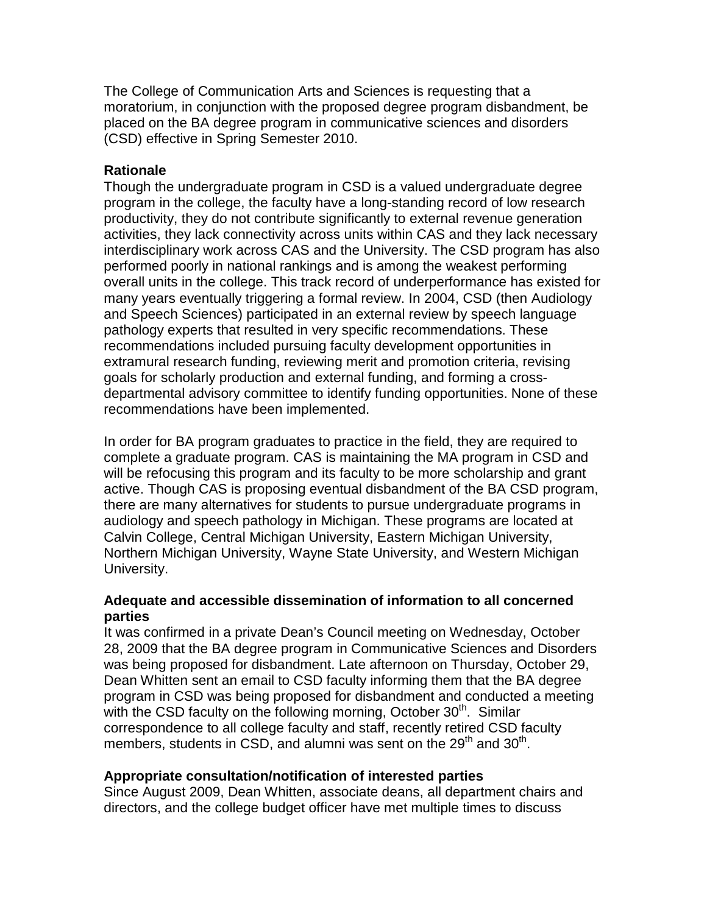The College of Communication Arts and Sciences is requesting that a moratorium, in conjunction with the proposed degree program disbandment, be placed on the BA degree program in communicative sciences and disorders (CSD) effective in Spring Semester 2010.

# **Rationale**

Though the undergraduate program in CSD is a valued undergraduate degree program in the college, the faculty have a long-standing record of low research productivity, they do not contribute significantly to external revenue generation activities, they lack connectivity across units within CAS and they lack necessary interdisciplinary work across CAS and the University. The CSD program has also performed poorly in national rankings and is among the weakest performing overall units in the college. This track record of underperformance has existed for many years eventually triggering a formal review. In 2004, CSD (then Audiology and Speech Sciences) participated in an external review by speech language pathology experts that resulted in very specific recommendations. These recommendations included pursuing faculty development opportunities in extramural research funding, reviewing merit and promotion criteria, revising goals for scholarly production and external funding, and forming a crossdepartmental advisory committee to identify funding opportunities. None of these recommendations have been implemented.

In order for BA program graduates to practice in the field, they are required to complete a graduate program. CAS is maintaining the MA program in CSD and will be refocusing this program and its faculty to be more scholarship and grant active. Though CAS is proposing eventual disbandment of the BA CSD program, there are many alternatives for students to pursue undergraduate programs in audiology and speech pathology in Michigan. These programs are located at Calvin College, Central Michigan University, Eastern Michigan University, Northern Michigan University, Wayne State University, and Western Michigan University.

## **Adequate and accessible dissemination of information to all concerned parties**

It was confirmed in a private Dean's Council meeting on Wednesday, October 28, 2009 that the BA degree program in Communicative Sciences and Disorders was being proposed for disbandment. Late afternoon on Thursday, October 29, Dean Whitten sent an email to CSD faculty informing them that the BA degree program in CSD was being proposed for disbandment and conducted a meeting with the CSD faculty on the following morning, October  $30<sup>th</sup>$ . Similar correspondence to all college faculty and staff, recently retired CSD faculty members, students in CSD, and alumni was sent on the  $29<sup>th</sup>$  and  $30<sup>th</sup>$ .

## **Appropriate consultation/notification of interested parties**

Since August 2009, Dean Whitten, associate deans, all department chairs and directors, and the college budget officer have met multiple times to discuss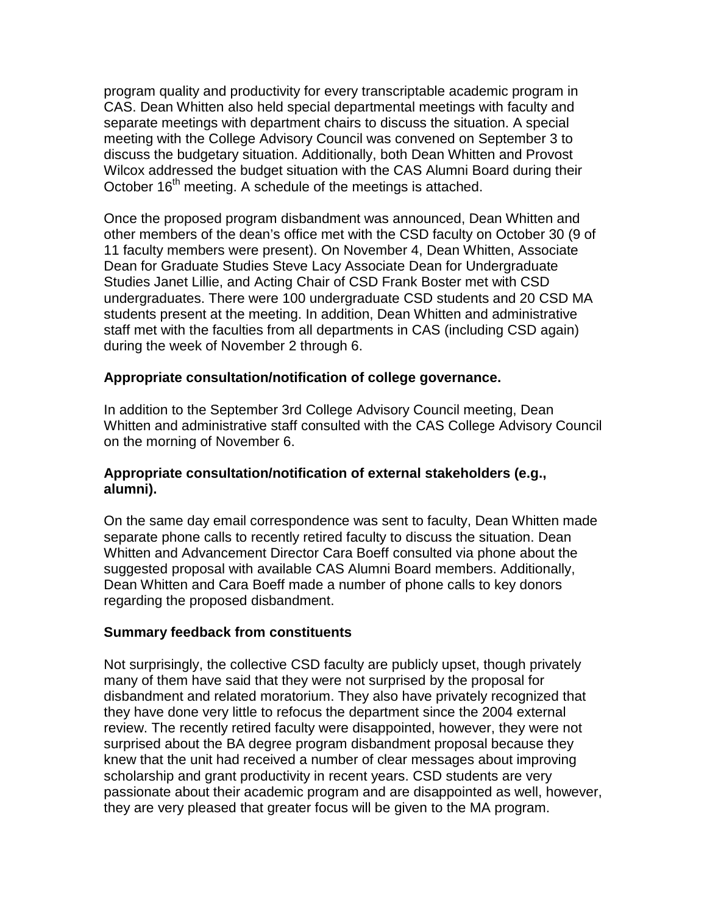program quality and productivity for every transcriptable academic program in CAS. Dean Whitten also held special departmental meetings with faculty and separate meetings with department chairs to discuss the situation. A special meeting with the College Advisory Council was convened on September 3 to discuss the budgetary situation. Additionally, both Dean Whitten and Provost Wilcox addressed the budget situation with the CAS Alumni Board during their October  $16<sup>th</sup>$  meeting. A schedule of the meetings is attached.

Once the proposed program disbandment was announced, Dean Whitten and other members of the dean's office met with the CSD faculty on October 30 (9 of 11 faculty members were present). On November 4, Dean Whitten, Associate Dean for Graduate Studies Steve Lacy Associate Dean for Undergraduate Studies Janet Lillie, and Acting Chair of CSD Frank Boster met with CSD undergraduates. There were 100 undergraduate CSD students and 20 CSD MA students present at the meeting. In addition, Dean Whitten and administrative staff met with the faculties from all departments in CAS (including CSD again) during the week of November 2 through 6.

#### **Appropriate consultation/notification of college governance.**

In addition to the September 3rd College Advisory Council meeting, Dean Whitten and administrative staff consulted with the CAS College Advisory Council on the morning of November 6.

## **Appropriate consultation/notification of external stakeholders (e.g., alumni).**

On the same day email correspondence was sent to faculty, Dean Whitten made separate phone calls to recently retired faculty to discuss the situation. Dean Whitten and Advancement Director Cara Boeff consulted via phone about the suggested proposal with available CAS Alumni Board members. Additionally, Dean Whitten and Cara Boeff made a number of phone calls to key donors regarding the proposed disbandment.

#### **Summary feedback from constituents**

Not surprisingly, the collective CSD faculty are publicly upset, though privately many of them have said that they were not surprised by the proposal for disbandment and related moratorium. They also have privately recognized that they have done very little to refocus the department since the 2004 external review. The recently retired faculty were disappointed, however, they were not surprised about the BA degree program disbandment proposal because they knew that the unit had received a number of clear messages about improving scholarship and grant productivity in recent years. CSD students are very passionate about their academic program and are disappointed as well, however, they are very pleased that greater focus will be given to the MA program.